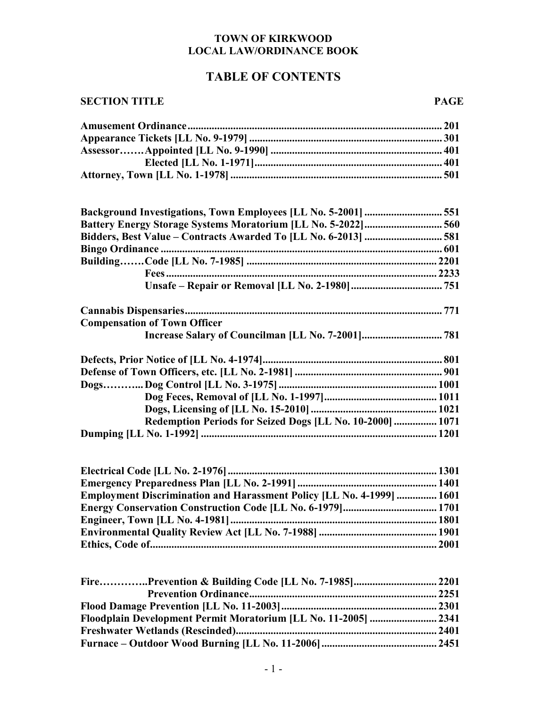#### **TOWN OF KIRKWOOD LOCAL LAW/ORDINANCE BOOK**

# **TABLE OF CONTENTS**

### **SECTION TITLE PAGE**

| <b>Battery Energy Storage Systems Moratorium [LL No. 5-2022] 560</b> |  |
|----------------------------------------------------------------------|--|
|                                                                      |  |
|                                                                      |  |
|                                                                      |  |
|                                                                      |  |
|                                                                      |  |
|                                                                      |  |
| <b>Compensation of Town Officer</b>                                  |  |
|                                                                      |  |
|                                                                      |  |
|                                                                      |  |
|                                                                      |  |
|                                                                      |  |
|                                                                      |  |
| Redemption Periods for Seized Dogs [LL No. 10-2000]  1071            |  |
| <b>Dumning II.I.</b> No. 1-1992] (1999)                              |  |

| <b>Emergency Dreparedness Dlan II I No. 2 10011</b> | 1401 |
|-----------------------------------------------------|------|

| <b>Employment Discrimination and Harassment Policy [LL No. 4-1999]  1601</b> |
|------------------------------------------------------------------------------|
|                                                                              |
|                                                                              |
|                                                                              |
|                                                                              |

| Floodplain Development Permit Moratorium [LL No. 11-2005]  2341 |  |
|-----------------------------------------------------------------|--|
|                                                                 |  |
|                                                                 |  |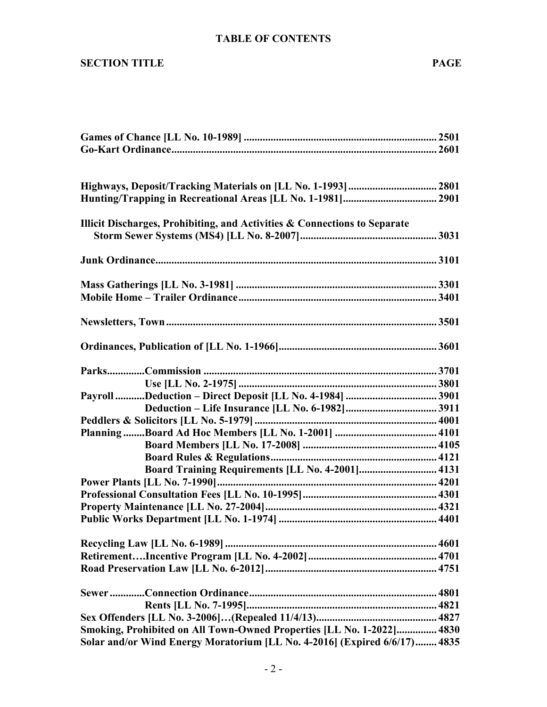## **TABLE OF CONTENTS**

#### **SECTION TITLE** PAGE

| Illicit Discharges, Prohibiting, and Activities & Connections to Separate |
|---------------------------------------------------------------------------|
|                                                                           |
|                                                                           |
|                                                                           |
|                                                                           |
|                                                                           |
|                                                                           |
|                                                                           |
|                                                                           |
|                                                                           |
|                                                                           |
|                                                                           |
|                                                                           |
|                                                                           |
|                                                                           |
|                                                                           |
|                                                                           |
| Board Training Requirements [LL No. 4-2001] 4131                          |
|                                                                           |
|                                                                           |
|                                                                           |
|                                                                           |
|                                                                           |
|                                                                           |
|                                                                           |
|                                                                           |
|                                                                           |
|                                                                           |
|                                                                           |
| Smoking, Prohibited on All Town-Owned Properties [LL No. 1-2022] 4830     |
| Solar and/or Wind Energy Moratorium [LL No. 4-2016] (Expired 6/6/17) 4835 |